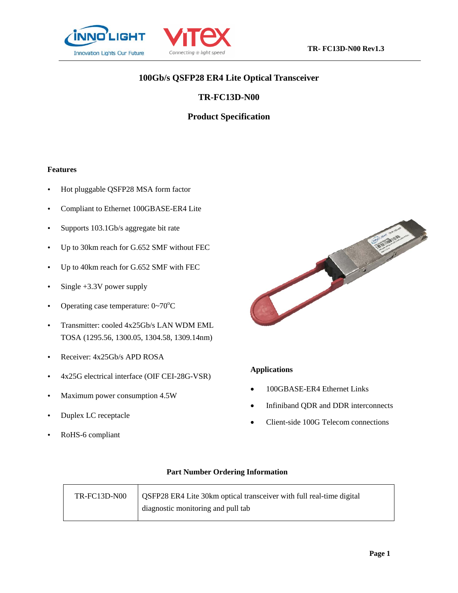



# **100Gb/s QSFP28 ER4 Lite Optical Transceiver**

# **TR-FC13D-N00**

# **Product Specification**

#### **Features**

- Hot pluggable QSFP28 MSA form factor
- Compliant to Ethernet 100GBASE-ER4 Lite
- Supports 103.1Gb/s aggregate bit rate
- Up to 30km reach for G.652 SMF without FEC
- Up to 40km reach for G.652 SMF with FEC
- $\cdot$  Single +3.3V power supply
- Operating case temperature:  $0 \sim 70^{\circ}$ C
- Transmitter: cooled 4x25Gb/s LAN WDM EML TOSA (1295.56, 1300.05, 1304.58, 1309.14nm)
- Receiver: 4x25Gb/s APD ROSA
- 4x25G electrical interface (OIF CEI-28G-VSR)
- Maximum power consumption 4.5W
- Duplex LC receptacle
- RoHS-6 compliant



#### **Applications**

- 100GBASE-ER4 Ethernet Links
- Infiniband QDR and DDR interconnects
- Client-side 100G Telecom connections

#### **Part Number Ordering Information**

| TR-FC13D-N00 | <b>QSFP28 ER4 Lite 30km optical transceiver with full real-time digital</b> |
|--------------|-----------------------------------------------------------------------------|
|              | diagnostic monitoring and pull tab                                          |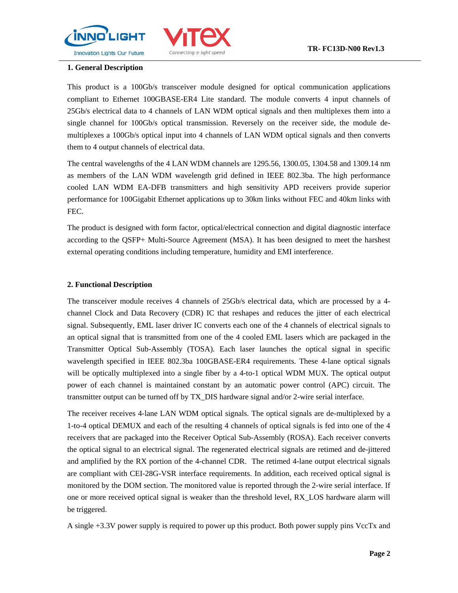



## **1. General Description**

This product is a 100Gb/s transceiver module designed for optical communication applications compliant to Ethernet 100GBASE-ER4 Lite standard. The module converts 4 input channels of 25Gb/s electrical data to 4 channels of LAN WDM optical signals and then multiplexes them into a single channel for 100Gb/s optical transmission. Reversely on the receiver side, the module demultiplexes a 100Gb/s optical input into 4 channels of LAN WDM optical signals and then converts them to 4 output channels of electrical data.

The central wavelengths of the 4 LAN WDM channels are 1295.56, 1300.05, 1304.58 and 1309.14 nm as members of the LAN WDM wavelength grid defined in IEEE 802.3ba. The high performance cooled LAN WDM EA-DFB transmitters and high sensitivity APD receivers provide superior performance for 100Gigabit Ethernet applications up to 30km links without FEC and 40km links with FEC.

The product is designed with form factor, optical/electrical connection and digital diagnostic interface according to the QSFP+ Multi-Source Agreement (MSA). It has been designed to meet the harshest external operating conditions including temperature, humidity and EMI interference.

## **2. Functional Description**

The transceiver module receives 4 channels of 25Gb/s electrical data, which are processed by a 4 channel Clock and Data Recovery (CDR) IC that reshapes and reduces the jitter of each electrical signal. Subsequently, EML laser driver IC converts each one of the 4 channels of electrical signals to an optical signal that is transmitted from one of the 4 cooled EML lasers which are packaged in the Transmitter Optical Sub-Assembly (TOSA). Each laser launches the optical signal in specific wavelength specified in IEEE 802.3ba 100GBASE-ER4 requirements. These 4-lane optical signals will be optically multiplexed into a single fiber by a 4-to-1 optical WDM MUX. The optical output power of each channel is maintained constant by an automatic power control (APC) circuit. The transmitter output can be turned off by TX\_DIS hardware signal and/or 2-wire serial interface.

The receiver receives 4-lane LAN WDM optical signals. The optical signals are de-multiplexed by a 1-to-4 optical DEMUX and each of the resulting 4 channels of optical signals is fed into one of the 4 receivers that are packaged into the Receiver Optical Sub-Assembly (ROSA). Each receiver converts the optical signal to an electrical signal. The regenerated electrical signals are retimed and de-jittered and amplified by the RX portion of the 4-channel CDR. The retimed 4-lane output electrical signals are compliant with CEI-28G-VSR interface requirements. In addition, each received optical signal is monitored by the DOM section. The monitored value is reported through the 2-wire serial interface. If one or more received optical signal is weaker than the threshold level, RX\_LOS hardware alarm will be triggered.

A single +3.3V power supply is required to power up this product. Both power supply pins VccTx and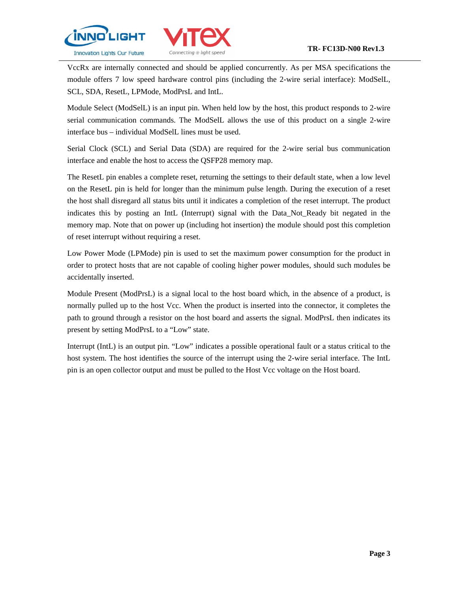



VccRx are internally connected and should be applied concurrently. As per MSA specifications the module offers 7 low speed hardware control pins (including the 2-wire serial interface): ModSelL, SCL, SDA, ResetL, LPMode, ModPrsL and IntL.

Module Select (ModSelL) is an input pin. When held low by the host, this product responds to 2-wire serial communication commands. The ModSelL allows the use of this product on a single 2-wire interface bus – individual ModSelL lines must be used.

Serial Clock (SCL) and Serial Data (SDA) are required for the 2-wire serial bus communication interface and enable the host to access the QSFP28 memory map.

The ResetL pin enables a complete reset, returning the settings to their default state, when a low level on the ResetL pin is held for longer than the minimum pulse length. During the execution of a reset the host shall disregard all status bits until it indicates a completion of the reset interrupt. The product indicates this by posting an IntL (Interrupt) signal with the Data\_Not\_Ready bit negated in the memory map. Note that on power up (including hot insertion) the module should post this completion of reset interrupt without requiring a reset.

Low Power Mode (LPMode) pin is used to set the maximum power consumption for the product in order to protect hosts that are not capable of cooling higher power modules, should such modules be accidentally inserted.

Module Present (ModPrsL) is a signal local to the host board which, in the absence of a product, is normally pulled up to the host Vcc. When the product is inserted into the connector, it completes the path to ground through a resistor on the host board and asserts the signal. ModPrsL then indicates its present by setting ModPrsL to a "Low" state.

Interrupt (IntL) is an output pin. "Low" indicates a possible operational fault or a status critical to the host system. The host identifies the source of the interrupt using the 2-wire serial interface. The IntL pin is an open collector output and must be pulled to the Host Vcc voltage on the Host board.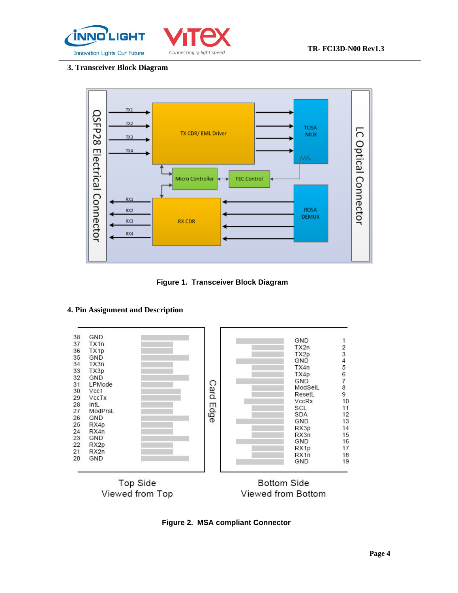



## **3. Transceiver Block Diagram**



**Figure 1. Transceiver Block Diagram**

## **4. Pin Assignment and Description**



**Figure 2. MSA compliant Connector**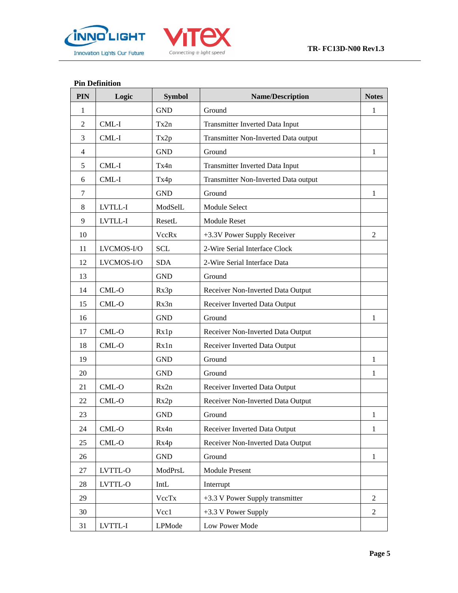



## **Pin Definition**

| PIN            | Logic      | <b>Symbol</b> | <b>Name/Description</b>              | <b>Notes</b>   |
|----------------|------------|---------------|--------------------------------------|----------------|
| 1              |            | <b>GND</b>    | Ground                               | 1              |
| $\overline{2}$ | CML-I      | Tx2n          | Transmitter Inverted Data Input      |                |
| 3              | CML-I      | Tx2p          | Transmitter Non-Inverted Data output |                |
| $\overline{4}$ |            | <b>GND</b>    | Ground                               | 1              |
| 5              | $CML-I$    | Tx4n          | Transmitter Inverted Data Input      |                |
| 6              | CML-I      | Tx4p          | Transmitter Non-Inverted Data output |                |
| 7              |            | <b>GND</b>    | Ground                               | 1              |
| 8              | LVTLL-I    | ModSelL       | Module Select                        |                |
| 9              | LVTLL-I    | ResetL        | <b>Module Reset</b>                  |                |
| 10             |            | VccRx         | +3.3V Power Supply Receiver          | 2              |
| 11             | LVCMOS-I/O | <b>SCL</b>    | 2-Wire Serial Interface Clock        |                |
| 12             | LVCMOS-I/O | <b>SDA</b>    | 2-Wire Serial Interface Data         |                |
| 13             |            | <b>GND</b>    | Ground                               |                |
| 14             | CML-O      | Rx3p          | Receiver Non-Inverted Data Output    |                |
| 15             | $CML-O$    | Rx3n          | Receiver Inverted Data Output        |                |
| 16             |            | <b>GND</b>    | Ground                               | $\mathbf{1}$   |
| 17             | $CML-O$    | Rx1p          | Receiver Non-Inverted Data Output    |                |
| 18             | CML-O      | Rx1n          | Receiver Inverted Data Output        |                |
| 19             |            | <b>GND</b>    | Ground                               | 1              |
| 20             |            | <b>GND</b>    | Ground                               | 1              |
| 21             | $CML-O$    | Rx2n          | Receiver Inverted Data Output        |                |
| 22             | CML-O      | Rx2p          | Receiver Non-Inverted Data Output    |                |
| 23             |            | <b>GND</b>    | Ground                               | 1              |
| 24             | CML-O      | Rx4n          | Receiver Inverted Data Output        | 1              |
| 25             | $CML-O$    | Rx4p          | Receiver Non-Inverted Data Output    |                |
| 26             |            | <b>GND</b>    | Ground                               | $\mathbf{1}$   |
| 27             | LVTTL-O    | ModPrsL       | Module Present                       |                |
| 28             | LVTTL-O    | IntL          | Interrupt                            |                |
| 29             |            | VccTx         | +3.3 V Power Supply transmitter      | $\overline{2}$ |
| 30             |            | Vcc1          | +3.3 V Power Supply                  | 2              |
| 31             | LVTTL-I    | LPMode        | Low Power Mode                       |                |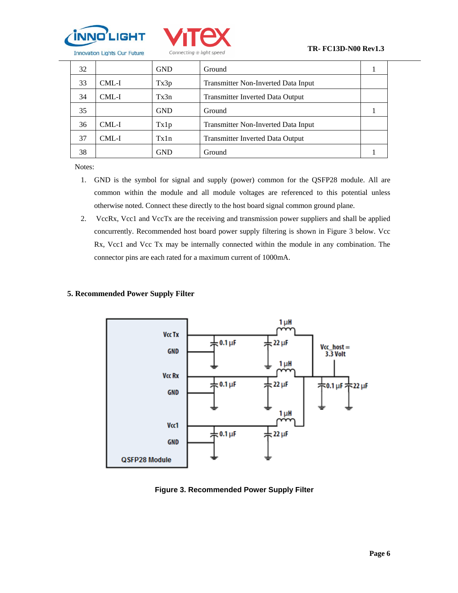



| 32 |       | <b>GND</b> | Ground                                  |  |
|----|-------|------------|-----------------------------------------|--|
| 33 | CML-I | Tx3p       | Transmitter Non-Inverted Data Input     |  |
| 34 | CML-I | Tx3n       | <b>Transmitter Inverted Data Output</b> |  |
| 35 |       | <b>GND</b> | Ground                                  |  |
| 36 | CML-I | Tx1p       | Transmitter Non-Inverted Data Input     |  |
| 37 | CML-I | Tx1n       | <b>Transmitter Inverted Data Output</b> |  |
| 38 |       | GND        | Ground                                  |  |

Notes:

- 1. GND is the symbol for signal and supply (power) common for the QSFP28 module. All are common within the module and all module voltages are referenced to this potential unless otherwise noted. Connect these directly to the host board signal common ground plane.
- 2. VccRx, Vcc1 and VccTx are the receiving and transmission power suppliers and shall be applied concurrently. Recommended host board power supply filtering is shown in Figure 3 below. Vcc Rx, Vcc1 and Vcc Tx may be internally connected within the module in any combination. The connector pins are each rated for a maximum current of 1000mA.

## **5. Recommended Power Supply Filter**



**Figure 3. Recommended Power Supply Filter**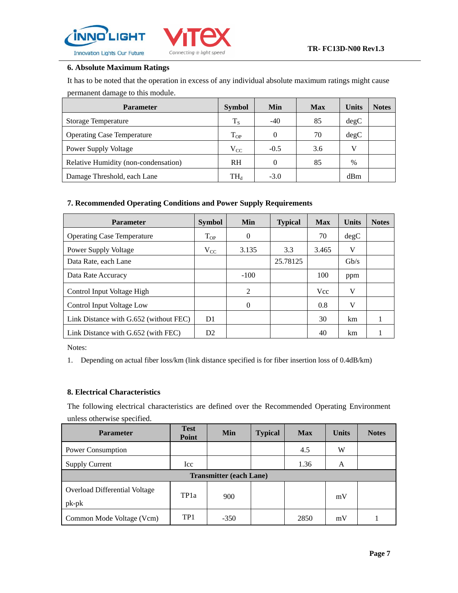



## **6. Absolute Maximum Ratings**

It has to be noted that the operation in excess of any individual absolute maximum ratings might cause permanent damage to this module.

| <b>Parameter</b>                     | <b>Symbol</b>              | <b>Min</b> | <b>Max</b> | <b>Units</b>  | <b>Notes</b> |
|--------------------------------------|----------------------------|------------|------------|---------------|--------------|
| <b>Storage Temperature</b>           | $T_S$                      | $-40$      | 85         | degC          |              |
| <b>Operating Case Temperature</b>    | $T_{OP}$                   | 0          | 70         | degC          |              |
| <b>Power Supply Voltage</b>          | $V_{CC}$                   | $-0.5$     | 3.6        | V             |              |
| Relative Humidity (non-condensation) | <b>RH</b>                  | 0          | 85         | $\frac{0}{0}$ |              |
| Damage Threshold, each Lane          | $\mathrm{TH}_{\mathrm{d}}$ | $-3.0$     |            | dBm           |              |

## **7. Recommended Operating Conditions and Power Supply Requirements**

| <b>Parameter</b>                       | <b>Symbol</b>  | <b>Min</b>     | <b>Typical</b> | <b>Max</b> | <b>Units</b> | <b>Notes</b> |
|----------------------------------------|----------------|----------------|----------------|------------|--------------|--------------|
| <b>Operating Case Temperature</b>      | $T_{OP}$       | $\theta$       |                | 70         | degC         |              |
| Power Supply Voltage                   | $V_{CC}$       | 3.135          | 3.3            | 3.465      | V            |              |
| Data Rate, each Lane                   |                |                | 25.78125       |            | Gb/s         |              |
| Data Rate Accuracy                     |                | $-100$         |                | 100        | ppm          |              |
| Control Input Voltage High             |                | $\mathfrak{D}$ |                | <b>Vcc</b> | V            |              |
| Control Input Voltage Low              |                | $\Omega$       |                | 0.8        | V            |              |
| Link Distance with G.652 (without FEC) | D <sub>1</sub> |                |                | 30         | km           |              |
| Link Distance with G.652 (with FEC)    | D <sub>2</sub> |                |                | 40         | km           |              |

Notes:

1. Depending on actual fiber loss/km (link distance specified is for fiber insertion loss of 0.4dB/km)

## **8. Electrical Characteristics**

The following electrical characteristics are defined over the Recommended Operating Environment unless otherwise specified.

| <b>Parameter</b>                                | <b>Test</b><br>Point | <b>Min</b> | <b>Typical</b> | <b>Max</b> | <b>Units</b> | <b>Notes</b> |  |
|-------------------------------------------------|----------------------|------------|----------------|------------|--------------|--------------|--|
| Power Consumption                               |                      |            |                | 4.5        | W            |              |  |
| <b>Supply Current</b>                           | Icc                  |            |                | 1.36       | A            |              |  |
| <b>Transmitter (each Lane)</b>                  |                      |            |                |            |              |              |  |
| <b>Overload Differential Voltage</b><br>$pk-pk$ | TP <sub>1</sub> a    | 900        |                |            | mV           |              |  |
| Common Mode Voltage (Vcm)                       | TP <sub>1</sub>      | $-350$     |                | 2850       | mV           |              |  |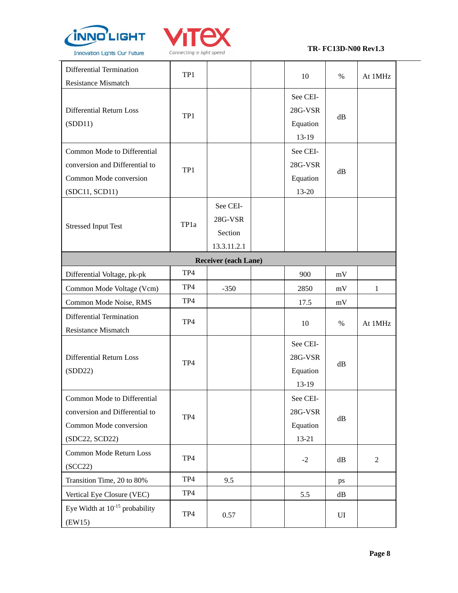



#### **TR- FC13D-N00 Rev1.3**

| Differential Termination<br><b>Resistance Mismatch</b>                                                    | TP1             |                                               | 10                                         | $\%$ | At 1MHz          |
|-----------------------------------------------------------------------------------------------------------|-----------------|-----------------------------------------------|--------------------------------------------|------|------------------|
| Differential Return Loss<br>(SDD11)                                                                       | TP1             |                                               | See CEI-<br>28G-VSR<br>Equation<br>$13-19$ | dB   |                  |
| Common Mode to Differential<br>conversion and Differential to<br>Common Mode conversion<br>(SDC11, SCD11) | TP1             |                                               | See CEI-<br>28G-VSR<br>Equation<br>13-20   | dB   |                  |
| <b>Stressed Input Test</b>                                                                                | TP1a            | See CEI-<br>28G-VSR<br>Section<br>13.3.11.2.1 |                                            |      |                  |
|                                                                                                           |                 | <b>Receiver (each Lane)</b>                   |                                            |      |                  |
| Differential Voltage, pk-pk                                                                               | TP4             |                                               | 900                                        | mV   |                  |
| Common Mode Voltage (Vcm)                                                                                 | TP <sub>4</sub> | $-350$                                        | 2850                                       | mV   | 1                |
| Common Mode Noise, RMS                                                                                    | TP4             |                                               | 17.5                                       | mV   |                  |
| Differential Termination<br><b>Resistance Mismatch</b>                                                    | TP4             |                                               | 10                                         | $\%$ | At 1MHz          |
| Differential Return Loss<br>(SDD22)                                                                       | TP4             |                                               | See CEI-<br>28G-VSR<br>Equation<br>$13-19$ | dB   |                  |
| Common Mode to Differential<br>conversion and Differential to<br>Common Mode conversion<br>(SDC22, SCD22) | TP4             |                                               | See CEI-<br>28G-VSR<br>Equation<br>13-21   | dB   |                  |
| Common Mode Return Loss<br>(SCC22)                                                                        | TP4             |                                               | $-2$                                       | dB   | $\boldsymbol{2}$ |
| Transition Time, 20 to 80%                                                                                | TP4             | 9.5                                           |                                            | ps   |                  |
| Vertical Eye Closure (VEC)                                                                                | TP4             |                                               | 5.5                                        | dB   |                  |
| Eye Width at $10^{-15}$ probability<br>(EW15)                                                             | TP4             | 0.57                                          |                                            | UI   |                  |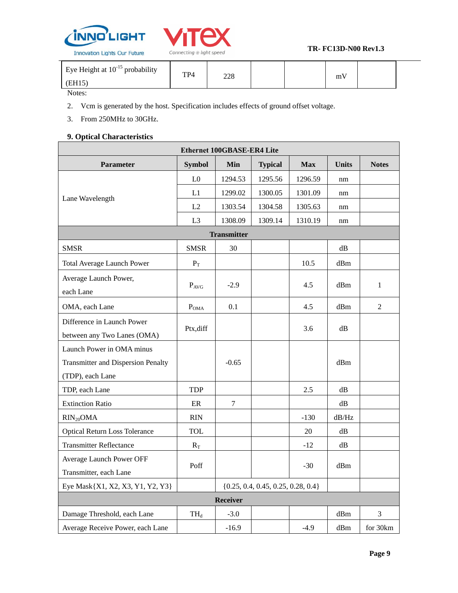



#### **TR- FC13D-N00 Rev1.3**

|  | Eye Height at $10^{-15}$ probability<br>EH <sub>15</sub> | TP <sub>4</sub> | າາດ<br>∠∠∪ |  |  | $\mathbf{v}$<br>m٧ |  |  |
|--|----------------------------------------------------------|-----------------|------------|--|--|--------------------|--|--|
|--|----------------------------------------------------------|-----------------|------------|--|--|--------------------|--|--|

#### Notes:

 $\mathsf{r}$ 

2. Vcm is generated by the host. Specification includes effects of ground offset voltage.

3. From 250MHz to 30GHz.

## **9. Optical Characteristics**

| <b>Ethernet 100GBASE-ER4 Lite</b>                                          |                 |                    |                |            |               |                |  |  |
|----------------------------------------------------------------------------|-----------------|--------------------|----------------|------------|---------------|----------------|--|--|
| <b>Parameter</b>                                                           | <b>Symbol</b>   | Min                | <b>Typical</b> | <b>Max</b> | <b>Units</b>  | <b>Notes</b>   |  |  |
|                                                                            | L <sub>0</sub>  | 1294.53            | 1295.56        | 1296.59    | nm            |                |  |  |
| Lane Wavelength                                                            | L1              | 1299.02            | 1300.05        | 1301.09    | nm            |                |  |  |
|                                                                            | L2              | 1303.54            | 1304.58        | 1305.63    | nm            |                |  |  |
|                                                                            | L <sub>3</sub>  | 1308.09            | 1309.14        | 1310.19    | nm            |                |  |  |
|                                                                            |                 | <b>Transmitter</b> |                |            |               |                |  |  |
| <b>SMSR</b>                                                                | <b>SMSR</b>     | 30                 |                |            | $\mathrm{dB}$ |                |  |  |
| <b>Total Average Launch Power</b>                                          | $P_T$           |                    |                | 10.5       | dBm           |                |  |  |
| Average Launch Power,<br>each Lane                                         | $P_{AVG}$       | $-2.9$             |                | 4.5        | dBm           | $\mathbf{1}$   |  |  |
| OMA, each Lane                                                             | $P_{OMA}$       | 0.1                |                | 4.5        | dBm           | $\overline{2}$ |  |  |
| Difference in Launch Power<br>between any Two Lanes (OMA)                  | Ptx,diff        |                    |                | 3.6        | dB            |                |  |  |
| Launch Power in OMA minus                                                  |                 |                    |                |            |               |                |  |  |
| <b>Transmitter and Dispersion Penalty</b>                                  |                 | $-0.65$            |                |            | dBm           |                |  |  |
| (TDP), each Lane                                                           |                 |                    |                |            |               |                |  |  |
| TDP, each Lane                                                             | <b>TDP</b>      |                    |                | 2.5        | dB            |                |  |  |
| <b>Extinction Ratio</b>                                                    | $\rm ER$        | 7                  |                |            | $\mathrm{dB}$ |                |  |  |
| $RIN_{20}OMA$                                                              | <b>RIN</b>      |                    |                | $-130$     | dB/Hz         |                |  |  |
| <b>Optical Return Loss Tolerance</b>                                       | <b>TOL</b>      |                    |                | 20         | dB            |                |  |  |
| <b>Transmitter Reflectance</b>                                             | $R_T$           |                    |                | $-12$      | $\mathrm{dB}$ |                |  |  |
| Average Launch Power OFF<br>Transmitter, each Lane                         | Poff            |                    |                | $-30$      | dBm           |                |  |  |
| Eye Mask{X1, X2, X3, Y1, Y2, Y3}<br>$\{0.25, 0.4, 0.45, 0.25, 0.28, 0.4\}$ |                 |                    |                |            |               |                |  |  |
|                                                                            | <b>Receiver</b> |                    |                |            |               |                |  |  |
| Damage Threshold, each Lane                                                | $TH_d$          | $-3.0$             |                |            | dBm           | 3              |  |  |
| Average Receive Power, each Lane                                           |                 | $-16.9$            |                | $-4.9$     | dBm           | for 30km       |  |  |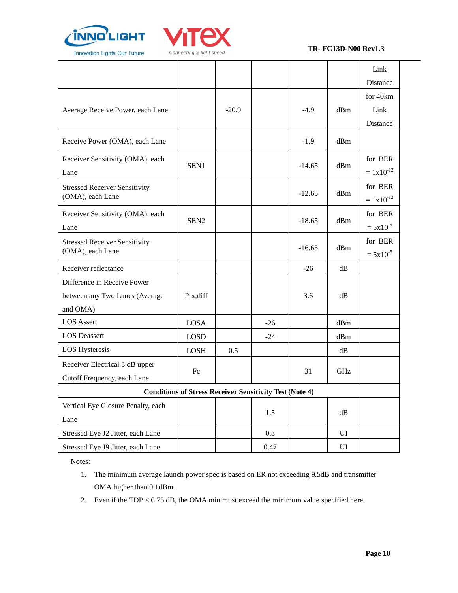



#### **TR- FC13D-N00 Rev1.3**

|                                                                           |                                                                |         |       |          |     | Link                         |
|---------------------------------------------------------------------------|----------------------------------------------------------------|---------|-------|----------|-----|------------------------------|
|                                                                           |                                                                |         |       |          |     | Distance                     |
| Average Receive Power, each Lane                                          |                                                                | $-20.9$ |       | $-4.9$   | dBm | for 40km<br>Link<br>Distance |
| Receive Power (OMA), each Lane                                            |                                                                |         |       | $-1.9$   | dBm |                              |
| Receiver Sensitivity (OMA), each<br>Lane                                  | SEN1                                                           |         |       | $-14.65$ | dBm | for BER<br>$= 1x10^{-12}$    |
| <b>Stressed Receiver Sensitivity</b><br>(OMA), each Lane                  |                                                                |         |       | $-12.65$ | dBm | for BER<br>$= 1x10^{-12}$    |
| Receiver Sensitivity (OMA), each<br>Lane                                  | SEN <sub>2</sub>                                               |         |       | $-18.65$ | dBm | for BER<br>$= 5x10^{-5}$     |
| <b>Stressed Receiver Sensitivity</b><br>(OMA), each Lane                  |                                                                |         |       | $-16.65$ | dBm | for BER<br>$= 5x10^{-5}$     |
| Receiver reflectance                                                      |                                                                |         |       | $-26$    | dB  |                              |
| Difference in Receive Power<br>between any Two Lanes (Average<br>and OMA) | Prx, diff                                                      |         |       | 3.6      | dB  |                              |
| <b>LOS Assert</b>                                                         | LOSA                                                           |         | $-26$ |          | dBm |                              |
| <b>LOS</b> Deassert                                                       | <b>LOSD</b>                                                    |         | $-24$ |          | dBm |                              |
| <b>LOS Hysteresis</b>                                                     | <b>LOSH</b>                                                    | 0.5     |       |          | dB  |                              |
| Receiver Electrical 3 dB upper<br>Cutoff Frequency, each Lane             | Fc                                                             |         |       | 31       | GHz |                              |
|                                                                           | <b>Conditions of Stress Receiver Sensitivity Test (Note 4)</b> |         |       |          |     |                              |
| Vertical Eye Closure Penalty, each<br>Lane                                |                                                                |         | 1.5   |          | dB  |                              |
| Stressed Eye J2 Jitter, each Lane                                         |                                                                |         | 0.3   |          | UI  |                              |
| Stressed Eye J9 Jitter, each Lane                                         |                                                                |         | 0.47  |          | UI  |                              |

Notes:

- 1. The minimum average launch power spec is based on ER not exceeding 9.5dB and transmitter OMA higher than 0.1dBm.
- 2. Even if the TDP < 0.75 dB, the OMA min must exceed the minimum value specified here.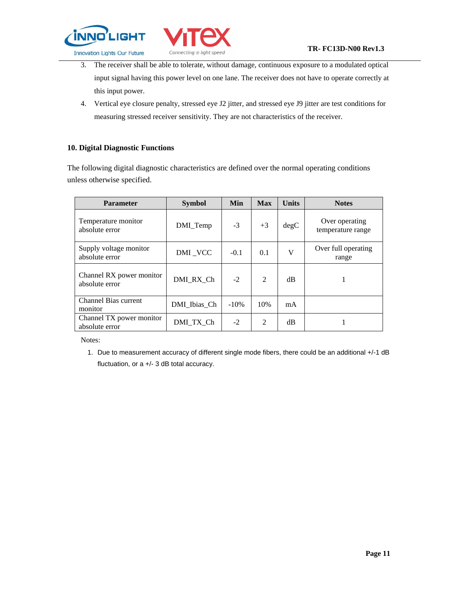



- 3. The receiver shall be able to tolerate, without damage, continuous exposure to a modulated optical input signal having this power level on one lane. The receiver does not have to operate correctly at this input power.
- 4. Vertical eye closure penalty, stressed eye J2 jitter, and stressed eye J9 jitter are test conditions for measuring stressed receiver sensitivity. They are not characteristics of the receiver.

#### **10. Digital Diagnostic Functions**

The following digital diagnostic characteristics are defined over the normal operating conditions unless otherwise specified.

| <b>Parameter</b>                           | <b>Symbol</b> | Min     | <b>Max</b> | <b>Units</b> | <b>Notes</b>                        |
|--------------------------------------------|---------------|---------|------------|--------------|-------------------------------------|
| Temperature monitor<br>absolute error      | DMI_Temp      | $-3$    | $+3$       | degC         | Over operating<br>temperature range |
| Supply voltage monitor<br>absolute error   | DMI_VCC       | $-0.1$  | 0.1        | V            | Over full operating<br>range        |
| Channel RX power monitor<br>absolute error | DMI RX Ch     | $-2$    | 2          | dB           |                                     |
| <b>Channel Bias current</b><br>monitor     | DMI Ibias Ch  | $-10\%$ | 10%        | mA           |                                     |
| Channel TX power monitor<br>absolute error | DMI TX Ch     | $-2$    | 2          | dB           |                                     |

Notes:

1. Due to measurement accuracy of different single mode fibers, there could be an additional +/-1 dB fluctuation, or a +/- 3 dB total accuracy.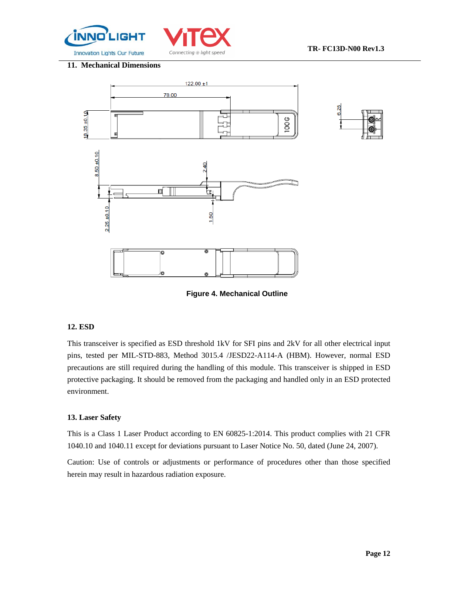



#### **11. Mechanical Dimensions**



**Figure 4. Mechanical Outline**

#### **12. ESD**

This transceiver is specified as ESD threshold 1kV for SFI pins and 2kV for all other electrical input pins, tested per MIL-STD-883, Method 3015.4 /JESD22-A114-A (HBM). However, normal ESD precautions are still required during the handling of this module. This transceiver is shipped in ESD protective packaging. It should be removed from the packaging and handled only in an ESD protected environment.

#### **13. Laser Safety**

This is a Class 1 Laser Product according to EN 60825-1:2014. This product complies with 21 CFR 1040.10 and 1040.11 except for deviations pursuant to Laser Notice No. 50, dated (June 24, 2007).

Caution: Use of controls or adjustments or performance of procedures other than those specified herein may result in hazardous radiation exposure.